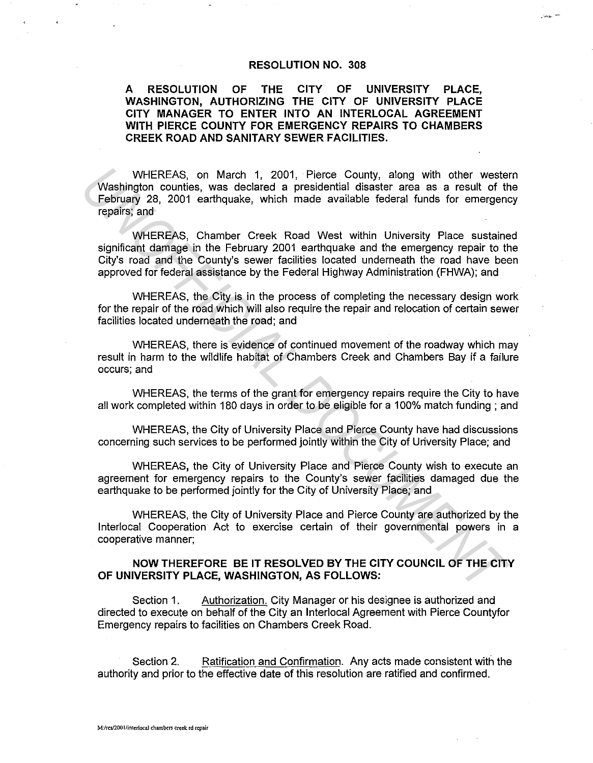## **RESOLUTION NO. 308**

.<br>ساندەن

## **A RESOLUTION OF THE CITY OF UNIVERSITY PLACE, WASHINGTON, AUTHORIZING THE CITY OF UNIVERSITY PLACE CITY MANAGER TO ENTER INTO AN INTERLOCAL AGREEMENT WITH PIERCE COUNTY FOR EMERGENCY REPAIRS TO CHAMBERS CREEK ROAD AND SANITARY SEWER FACILITIES.**

WHEREAS, on March 1, 2001, Pierce County, along with other western Washington counties, was declared a presidential disaster area as a result of the February 28, 2001 earthquake, which made available federal funds for emergency repairs; and

WHEREAS, Chamber Creek Road West within University Place sustained significant damage in the February 2001 earthquake and the emergency repair to the City's road and the County's sewer facilities located underneath the road have been approved for federal assistance by the Federal Highway Administration (FHWA); and WHEREAS, on March 1, 2001, Pierce County, along with other westes<br>
Washington counties, was declared a presidential disaster area as a result of the<br>
February 28, 2001 earthquake, which made available federal funds for eme

WHEREAS, the City is in the process of completing the necessary design work for the repair of the road which will also require the repair and relocation of certain sewer facilities located underneath the road; and

WHEREAS, there is evidence of continued movement of the roadway which may result in harm to the wildlife habitat of Chambers Creek and Chambers Bay if a failure occurs; and

WHEREAS, the terms of the grant for emergency repairs require the City to have all work completed within 180 days in order to be eligible for a 100% match funding ; and

WHEREAS, the City of University Place and Pierce County have had discussions concerning such services to be performed jointly within the City of Uriversity Place; and

WHEREAS, the City of University Place and Pierce County wish to execute an agreement for emergency repairs to the County's sewer facilities damaged due the earthquake to be performed jointly for the City of University Place; and

WHEREAS, the City of University Place and Pierce County are authorized by the lnterlocal Cooperation Act to exercise certain of their governmental powers in a cooperative manner;

## **NOW THEREFORE BE IT RESOLVED BY THE CITY COUNCIL OF THE CITY OF UNIVERSITY PLACE, WASHINGTON, AS FOLLOWS:**

Section 1. Authorization. City Manager or his designee is authorized and directed to execute on behalf of the City an lnterlocal Agreement with Pierce Countyfor Emergency repairs to facilities on Chambers Creek Road.

Section 2. Ratification and Confirmation. Any acts made consistent with the authority and prior to the effective date of this resolution are ratified and confirmed.